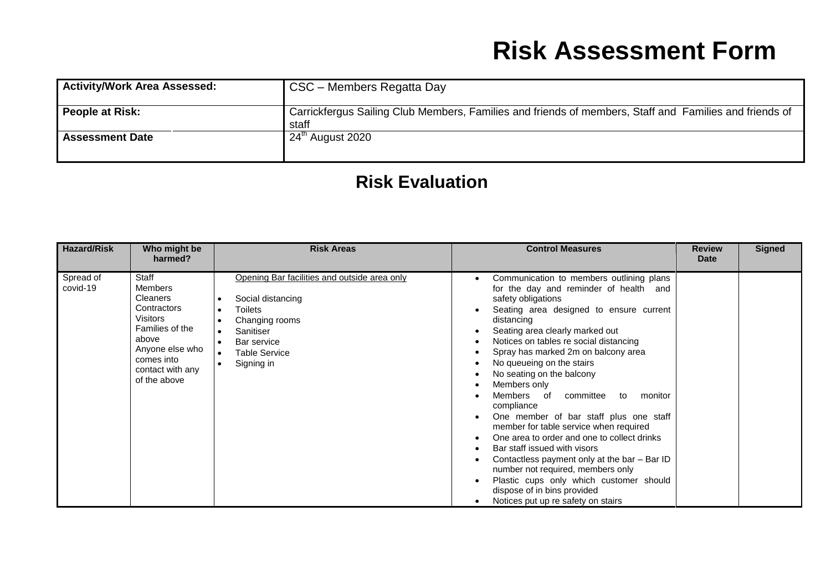| <b>Activity/Work Area Assessed:</b> | CSC – Members Regatta Day                                                                                       |
|-------------------------------------|-----------------------------------------------------------------------------------------------------------------|
| People at Risk:                     | Carrickfergus Sailing Club Members, Families and friends of members, Staff and Families and friends of<br>staff |
| <b>Assessment Date</b>              | 24 <sup>th</sup> August 2020                                                                                    |

#### **Risk Evaluation**

| <b>Hazard/Risk</b>    | Who might be<br>harmed?                                                                                                                                                       | <b>Risk Areas</b>                                                                                                                                                                                 | <b>Control Measures</b>                                                                                                                                                                                                                                                                                                                                                                                                                                                                                                                                                                                                                                                                                                                                                                     | <b>Review</b><br><b>Date</b> | <b>Signed</b> |
|-----------------------|-------------------------------------------------------------------------------------------------------------------------------------------------------------------------------|---------------------------------------------------------------------------------------------------------------------------------------------------------------------------------------------------|---------------------------------------------------------------------------------------------------------------------------------------------------------------------------------------------------------------------------------------------------------------------------------------------------------------------------------------------------------------------------------------------------------------------------------------------------------------------------------------------------------------------------------------------------------------------------------------------------------------------------------------------------------------------------------------------------------------------------------------------------------------------------------------------|------------------------------|---------------|
| Spread of<br>covid-19 | Staff<br><b>Members</b><br><b>Cleaners</b><br>Contractors<br><b>Visitors</b><br>Families of the<br>above<br>Anyone else who<br>comes into<br>contact with any<br>of the above | Opening Bar facilities and outside area only<br>Social distancing<br><b>Toilets</b><br>$\bullet$<br>Changing rooms<br>Sanitiser<br>Bar service<br><b>Table Service</b><br>$\bullet$<br>Signing in | Communication to members outlining plans<br>for the day and reminder of health and<br>safety obligations<br>Seating area designed to ensure current<br>distancing<br>Seating area clearly marked out<br>Notices on tables re social distancing<br>Spray has marked 2m on balcony area<br>No queueing on the stairs<br>No seating on the balcony<br>Members only<br>Members of committee to<br>monitor<br>compliance<br>One member of bar staff plus one staff<br>member for table service when required<br>One area to order and one to collect drinks<br>Bar staff issued with visors<br>Contactless payment only at the bar - Bar ID<br>number not required, members only<br>Plastic cups only which customer should<br>dispose of in bins provided<br>Notices put up re safety on stairs |                              |               |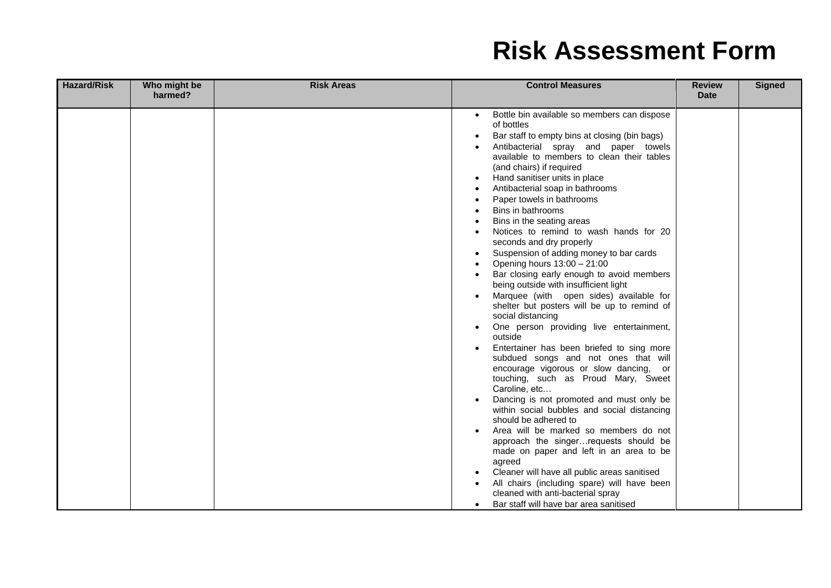| <b>Hazard/Risk</b> | Who might be<br>harmed? | <b>Risk Areas</b> | <b>Control Measures</b>                                                                                                                                                                                                                                                                                                                                                                                                                                                                                                                                                                                                                                                                                                                                                                                                                                                                                                                                                                                                                                                                                                                                                                                                                                                                                                                                                                       | <b>Review</b><br>Date | <b>Signed</b> |
|--------------------|-------------------------|-------------------|-----------------------------------------------------------------------------------------------------------------------------------------------------------------------------------------------------------------------------------------------------------------------------------------------------------------------------------------------------------------------------------------------------------------------------------------------------------------------------------------------------------------------------------------------------------------------------------------------------------------------------------------------------------------------------------------------------------------------------------------------------------------------------------------------------------------------------------------------------------------------------------------------------------------------------------------------------------------------------------------------------------------------------------------------------------------------------------------------------------------------------------------------------------------------------------------------------------------------------------------------------------------------------------------------------------------------------------------------------------------------------------------------|-----------------------|---------------|
|                    |                         |                   | Bottle bin available so members can dispose<br>$\bullet$<br>of bottles<br>Bar staff to empty bins at closing (bin bags)<br>Antibacterial spray and paper towels<br>available to members to clean their tables<br>(and chairs) if required<br>Hand sanitiser units in place<br>Antibacterial soap in bathrooms<br>Paper towels in bathrooms<br>Bins in bathrooms<br>Bins in the seating areas<br>Notices to remind to wash hands for 20<br>seconds and dry properly<br>Suspension of adding money to bar cards<br>Opening hours 13:00 - 21:00<br>Bar closing early enough to avoid members<br>being outside with insufficient light<br>Marquee (with open sides) available for<br>shelter but posters will be up to remind of<br>social distancing<br>One person providing live entertainment,<br>outside<br>Entertainer has been briefed to sing more<br>subdued songs and not ones that will<br>encourage vigorous or slow dancing, or<br>touching, such as Proud Mary, Sweet<br>Caroline, etc<br>Dancing is not promoted and must only be<br>within social bubbles and social distancing<br>should be adhered to<br>Area will be marked so members do not<br>approach the singerrequests should be<br>made on paper and left in an area to be<br>agreed<br>Cleaner will have all public areas sanitised<br>All chairs (including spare) will have been<br>cleaned with anti-bacterial spray |                       |               |
|                    |                         |                   | Bar staff will have bar area sanitised                                                                                                                                                                                                                                                                                                                                                                                                                                                                                                                                                                                                                                                                                                                                                                                                                                                                                                                                                                                                                                                                                                                                                                                                                                                                                                                                                        |                       |               |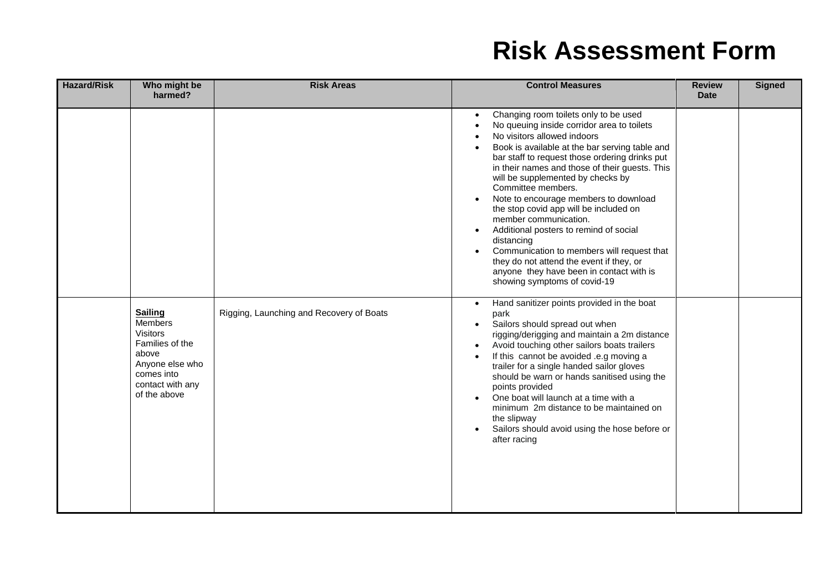| <b>Hazard/Risk</b> | Who might be<br>harmed?                                                                                                                       | <b>Risk Areas</b>                        | <b>Control Measures</b>                                                                                                                                                                                                                                                                                                                                                                                                                                                                                                                                                                                                                                                       | <b>Review</b><br><b>Date</b> | <b>Signed</b> |
|--------------------|-----------------------------------------------------------------------------------------------------------------------------------------------|------------------------------------------|-------------------------------------------------------------------------------------------------------------------------------------------------------------------------------------------------------------------------------------------------------------------------------------------------------------------------------------------------------------------------------------------------------------------------------------------------------------------------------------------------------------------------------------------------------------------------------------------------------------------------------------------------------------------------------|------------------------------|---------------|
|                    |                                                                                                                                               |                                          | Changing room toilets only to be used<br>No queuing inside corridor area to toilets<br>No visitors allowed indoors<br>Book is available at the bar serving table and<br>bar staff to request those ordering drinks put<br>in their names and those of their guests. This<br>will be supplemented by checks by<br>Committee members.<br>Note to encourage members to download<br>the stop covid app will be included on<br>member communication.<br>Additional posters to remind of social<br>distancing<br>Communication to members will request that<br>they do not attend the event if they, or<br>anyone they have been in contact with is<br>showing symptoms of covid-19 |                              |               |
|                    | <b>Sailing</b><br>Members<br><b>Visitors</b><br>Families of the<br>above<br>Anyone else who<br>comes into<br>contact with any<br>of the above | Rigging, Launching and Recovery of Boats | Hand sanitizer points provided in the boat<br>park<br>Sailors should spread out when<br>rigging/derigging and maintain a 2m distance<br>Avoid touching other sailors boats trailers<br>If this cannot be avoided .e.g moving a<br>trailer for a single handed sailor gloves<br>should be warn or hands sanitised using the<br>points provided<br>One boat will launch at a time with a<br>minimum 2m distance to be maintained on<br>the slipway<br>Sailors should avoid using the hose before or<br>after racing                                                                                                                                                             |                              |               |